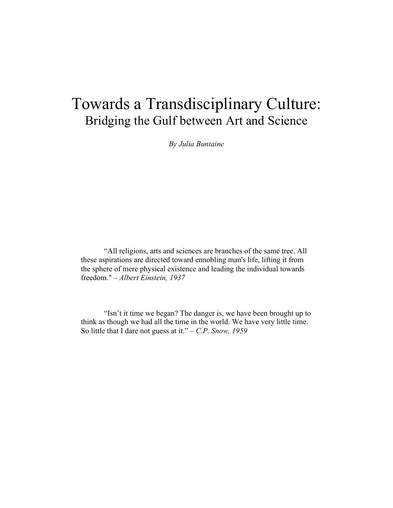# Towards a Transdisciplinary Culture: Bridging the Gulf between Art and Science

*By Julia Buntaine*

"All religions, arts and sciences are branches of the same tree. All these aspirations are directed toward ennobling man's life, lifting it from the sphere of mere physical existence and leading the individual towards freedom." – *Albert Einstein, 1937*

"Isn't it time we began? The danger is, we have been brought up to think as though we had all the time in the world. We have very little time. So little that I dare not guess at it." *– C.P. Snow, 1959*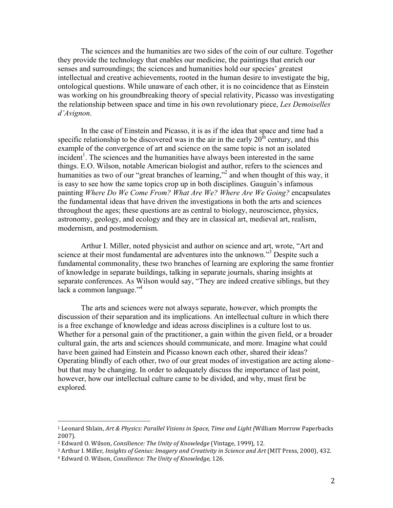The sciences and the humanities are two sides of the coin of our culture. Together they provide the technology that enables our medicine, the paintings that enrich our senses and surroundings; the sciences and humanities hold our species' greatest intellectual and creative achievements, rooted in the human desire to investigate the big, ontological questions. While unaware of each other, it is no coincidence that as Einstein was working on his groundbreaking theory of special relativity, Picasso was investigating the relationship between space and time in his own revolutionary piece, *Les Demoiselles d'Avignon*.

In the case of Einstein and Picasso, it is as if the idea that space and time had a specific relationship to be discovered was in the air in the early  $20<sup>th</sup>$  century, and this example of the convergence of art and science on the same topic is not an isolated  $incident<sup>1</sup>$ . The sciences and the humanities have always been interested in the same things. E.O. Wilson, notable American biologist and author, refers to the sciences and humanities as two of our "great branches of learning,"<sup>2</sup> and when thought of this way, it is easy to see how the same topics crop up in both disciplines. Gauguin's infamous painting *Where Do We Come From? What Are We? Where Are We Going?* encapsulates the fundamental ideas that have driven the investigations in both the arts and sciences throughout the ages; these questions are as central to biology, neuroscience, physics, astronomy, geology, and ecology and they are in classical art, medieval art, realism, modernism, and postmodernism.

Arthur I. Miller, noted physicist and author on science and art, wrote, "Art and science at their most fundamental are adventures into the unknown."<sup>3</sup> Despite such a fundamental commonality, these two branches of learning are exploring the same frontier of knowledge in separate buildings, talking in separate journals, sharing insights at separate conferences. As Wilson would say, "They are indeed creative siblings, but they lack a common language."<sup>4</sup>

The arts and sciences were not always separate, however, which prompts the discussion of their separation and its implications. An intellectual culture in which there is a free exchange of knowledge and ideas across disciplines is a culture lost to us. Whether for a personal gain of the practitioner, a gain within the given field, or a broader cultural gain, the arts and sciences should communicate, and more. Imagine what could have been gained had Einstein and Picasso known each other, shared their ideas? Operating blindly of each other, two of our great modes of investigation are acting alone– but that may be changing. In order to adequately discuss the importance of last point, however, how our intellectual culture came to be divided, and why, must first be explored.

<sup>&</sup>lt;sup>1</sup> Leonard Shlain, *Art & Physics: Parallel Visions in Space, Time and Light (William Morrow Paperbacks* 2007).

<sup>&</sup>lt;sup>2</sup> Edward O. Wilson, *Consilience: The Unity of Knowledge* (Vintage, 1999), 12.

<sup>&</sup>lt;sup>3</sup> Arthur I. Miller, *Insights of Genius: Imagery and Creativity in Science and Art* (MIT Press, 2000), 432.

<sup>&</sup>lt;sup>4</sup> Edward O. Wilson, *Consilience: The Unity of Knowledge,* 126.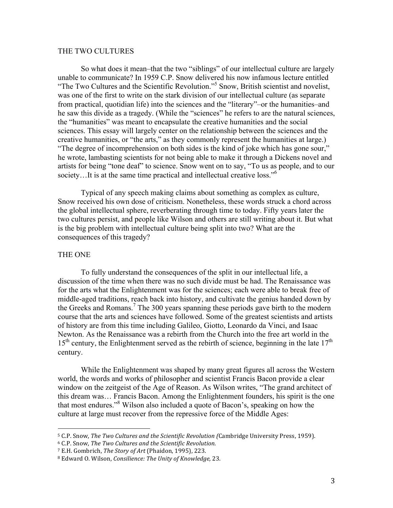## THE TWO CULTURES

So what does it mean–that the two "siblings" of our intellectual culture are largely unable to communicate? In 1959 C.P. Snow delivered his now infamous lecture entitled "The Two Cultures and the Scientific Revolution."<sup>5</sup> Snow, British scientist and novelist, was one of the first to write on the stark division of our intellectual culture (as separate from practical, quotidian life) into the sciences and the "literary"–or the humanities–and he saw this divide as a tragedy. (While the "sciences" he refers to are the natural sciences, the "humanities" was meant to encapsulate the creative humanities and the social sciences. This essay will largely center on the relationship between the sciences and the creative humanities, or "the arts," as they commonly represent the humanities at large.) "The degree of incomprehension on both sides is the kind of joke which has gone sour," he wrote, lambasting scientists for not being able to make it through a Dickens novel and artists for being "tone deaf" to science. Snow went on to say, "To us as people, and to our society...It is at the same time practical and intellectual creative loss."<sup>6</sup>

Typical of any speech making claims about something as complex as culture, Snow received his own dose of criticism. Nonetheless, these words struck a chord across the global intellectual sphere, reverberating through time to today. Fifty years later the two cultures persist, and people like Wilson and others are still writing about it. But what is the big problem with intellectual culture being split into two? What are the consequences of this tragedy?

## THE ONE

To fully understand the consequences of the split in our intellectual life, a discussion of the time when there was no such divide must be had. The Renaissance was for the arts what the Enlightenment was for the sciences; each were able to break free of middle-aged traditions, reach back into history, and cultivate the genius handed down by the Greeks and Romans.<sup>7</sup> The 300 years spanning these periods gave birth to the modern course that the arts and sciences have followed. Some of the greatest scientists and artists of history are from this time including Galileo, Giotto, Leonardo da Vinci, and Isaac Newton. As the Renaissance was a rebirth from the Church into the free art world in the  $15<sup>th</sup>$  century, the Enlightenment served as the rebirth of science, beginning in the late  $17<sup>th</sup>$ century.

While the Enlightenment was shaped by many great figures all across the Western world, the words and works of philosopher and scientist Francis Bacon provide a clear window on the zeitgeist of the Age of Reason. As Wilson writes, "The grand architect of this dream was… Francis Bacon. Among the Enlightenment founders, his spirit is the one that most endures."8 Wilson also included a quote of Bacon's, speaking on how the culture at large must recover from the repressive force of the Middle Ages:

<sup>&</sup>lt;sup>5</sup> C.P. Snow, *The Two Cultures and the Scientific Revolution (Cambridge University Press, 1959).* 

<sup>6</sup> C.P. Snow, *The Two Cultures and the Scientific Revolution.* 

<sup>&</sup>lt;sup>7</sup> E.H. Gombrich, *The Story of Art* (Phaidon, 1995), 223.

<sup>8</sup> Edward O. Wilson, *Consilience: The Unity of Knowledge*, 23.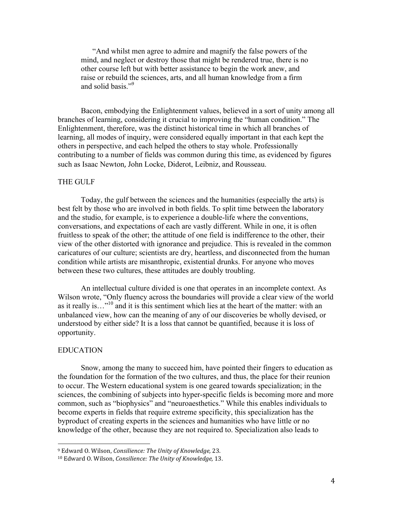"And whilst men agree to admire and magnify the false powers of the mind, and neglect or destroy those that might be rendered true, there is no other course left but with better assistance to begin the work anew, and raise or rebuild the sciences, arts, and all human knowledge from a firm and solid basis<sup>",9</sup>

Bacon, embodying the Enlightenment values, believed in a sort of unity among all branches of learning, considering it crucial to improving the "human condition." The Enlightenment, therefore, was the distinct historical time in which all branches of learning, all modes of inquiry, were considered equally important in that each kept the others in perspective, and each helped the others to stay whole. Professionally contributing to a number of fields was common during this time, as evidenced by figures such as Isaac Newton, John Locke, Diderot, Leibniz, and Rousseau.

## THE GULF

Today, the gulf between the sciences and the humanities (especially the arts) is best felt by those who are involved in both fields. To split time between the laboratory and the studio, for example, is to experience a double-life where the conventions, conversations, and expectations of each are vastly different. While in one, it is often fruitless to speak of the other; the attitude of one field is indifference to the other, their view of the other distorted with ignorance and prejudice. This is revealed in the common caricatures of our culture; scientists are dry, heartless, and disconnected from the human condition while artists are misanthropic, existential drunks. For anyone who moves between these two cultures, these attitudes are doubly troubling.

An intellectual culture divided is one that operates in an incomplete context. As Wilson wrote, "Only fluency across the boundaries will provide a clear view of the world as it really is…"10 and it is this sentiment which lies at the heart of the matter: with an unbalanced view, how can the meaning of any of our discoveries be wholly devised, or understood by either side? It is a loss that cannot be quantified, because it is loss of opportunity.

## EDUCATION

Snow, among the many to succeed him, have pointed their fingers to education as the foundation for the formation of the two cultures, and thus, the place for their reunion to occur. The Western educational system is one geared towards specialization; in the sciences, the combining of subjects into hyper-specific fields is becoming more and more common, such as "biophysics" and "neuroaesthetics." While this enables individuals to become experts in fields that require extreme specificity, this specialization has the byproduct of creating experts in the sciences and humanities who have little or no knowledge of the other, because they are not required to. Specialization also leads to

<sup>&</sup>lt;sup>9</sup> Edward O. Wilson, *Consilience: The Unity of Knowledge,* 23.

<sup>&</sup>lt;sup>10</sup> Edward O. Wilson, *Consilience: The Unity of Knowledge*, 13.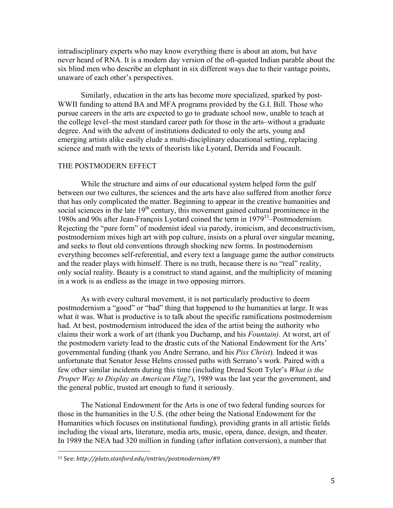intradisciplinary experts who may know everything there is about an atom, but have never heard of RNA. It is a modern day version of the oft-quoted Indian parable about the six blind men who describe an elephant in six different ways due to their vantage points, unaware of each other's perspectives.

Similarly, education in the arts has become more specialized, sparked by post-WWII funding to attend BA and MFA programs provided by the G.I. Bill. Those who pursue careers in the arts are expected to go to graduate school now, unable to teach at the college level–the most standard career path for those in the arts–without a graduate degree. And with the advent of institutions dedicated to only the arts, young and emerging artists alike easily elude a multi-disciplinary educational setting, replacing science and math with the texts of theorists like Lyotard, Derrida and Foucault.

## THE POSTMODERN EFFECT

While the structure and aims of our educational system helped form the gulf between our two cultures, the sciences and the arts have also suffered from another force that has only complicated the matter. Beginning to appear in the creative humanities and social sciences in the late  $19<sup>th</sup>$  century, this movement gained cultural prominence in the 1980s and 90s after Jean-François Lyotard coined the term in 197911–Postmodernism. Rejecting the "pure form" of modernist ideal via parody, ironicism, and deconstructivism, postmodernism mixes high art with pop culture, insists on a plural over singular meaning, and seeks to flout old conventions through shocking new forms. In postmodernism everything becomes self-referential, and every text a language game the author constructs and the reader plays with himself. There is no truth, because there is no "real" reality, only social reality. Beauty is a construct to stand against, and the multiplicity of meaning in a work is as endless as the image in two opposing mirrors.

As with every cultural movement, it is not particularly productive to deem postmodernism a "good" or "bad" thing that happened to the humanities at large. It was what it was. What is productive is to talk about the specific ramifications postmodernism had. At best, postmodernism introduced the idea of the artist being the authority who claims their work a work of art (thank you Duchamp, and his *Fountain)*. At worst, art of the postmodern variety lead to the drastic cuts of the National Endowment for the Arts' governmental funding (thank you Andre Serrano, and his *Piss Christ*). Indeed it was unfortunate that Senator Jesse Helms crossed paths with Serrano's work. Paired with a few other similar incidents during this time (including Dread Scott Tyler's *What is the Proper Way to Display an American Flag?*), 1989 was the last year the government, and the general public, trusted art enough to fund it seriously.

The National Endowment for the Arts is one of two federal funding sources for those in the humanities in the U.S. (the other being the National Endowment for the Humanities which focuses on institutional funding), providing grants in all artistic fields including the visual arts, literature, media arts, music, opera, dance, design, and theater. In 1989 the NEA had 320 million in funding (after inflation conversion), a number that

<sup>11</sup> See:!*http://plato.stanford.edu/entries/postmodernism/#9*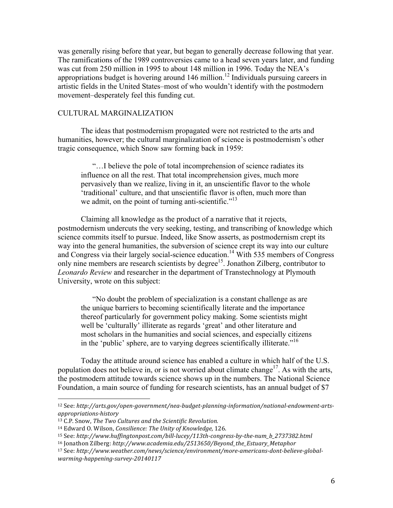was generally rising before that year, but began to generally decrease following that year. The ramifications of the 1989 controversies came to a head seven years later, and funding was cut from 250 million in 1995 to about 148 million in 1996. Today the NEA's appropriations budget is hovering around  $146$  million.<sup>12</sup> Individuals pursuing careers in artistic fields in the United States–most of who wouldn't identify with the postmodern movement–desperately feel this funding cut.

# CULTURAL MARGINALIZATION

The ideas that postmodernism propagated were not restricted to the arts and humanities, however; the cultural marginalization of science is postmodernism's other tragic consequence, which Snow saw forming back in 1959:

"…I believe the pole of total incomprehension of science radiates its influence on all the rest. That total incomprehension gives, much more pervasively than we realize, living in it, an unscientific flavor to the whole 'traditional' culture, and that unscientific flavor is often, much more than we admit, on the point of turning anti-scientific."<sup>13</sup>

Claiming all knowledge as the product of a narrative that it rejects, postmodernism undercuts the very seeking, testing, and transcribing of knowledge which science commits itself to pursue. Indeed, like Snow asserts, as postmodernism crept its way into the general humanities, the subversion of science crept its way into our culture and Congress via their largely social-science education.<sup>14</sup> With 535 members of Congress only nine members are research scientists by degree<sup>15</sup>. Jonathon Zilberg, contributor to *Leonardo Review* and researcher in the department of Transtechnology at Plymouth University, wrote on this subject:

"No doubt the problem of specialization is a constant challenge as are the unique barriers to becoming scientifically literate and the importance thereof particularly for government policy making. Some scientists might well be 'culturally' illiterate as regards 'great' and other literature and most scholars in the humanities and social sciences, and especially citizens in the 'public' sphere, are to varying degrees scientifically illiterate."<sup>16</sup>

Today the attitude around science has enabled a culture in which half of the U.S. population does not believe in, or is not worried about climate change<sup>17</sup>. As with the arts, the postmodern attitude towards science shows up in the numbers. The National Science Foundation, a main source of funding for research scientists, has an annual budget of \$7

<sup>&</sup>lt;sup>12</sup> See: http://arts.gov/open-government/nea-budget-planning-information/national-endowment-arts*appropriations-history* 

<sup>&</sup>lt;sup>13</sup> C.P. Snow, *The Two Cultures and the Scientific Revolution.* 

<sup>&</sup>lt;sup>14</sup> Edward O. Wilson, *Consilience: The Unity of Knowledge*, 126.

<sup>&</sup>lt;sup>15</sup> See: http://www.huffingtonpost.com/bill-lucey/113th-congress-by-the-num\_b\_2737382.html

<sup>16</sup> Jonathon!Zilberg:!*http://www.academia.edu/2513650/Beyond\_the\_Estuary\_Metaphor*

<sup>&</sup>lt;sup>17</sup> See: http://www.weather.com/news/science/environment/more-americans-dont-believe-global*warming-happening-survey-20140117*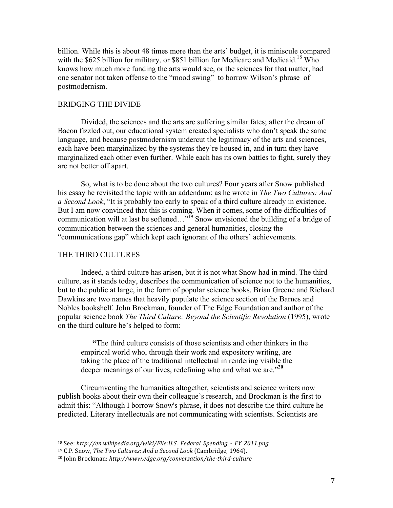billion. While this is about 48 times more than the arts' budget, it is miniscule compared with the \$625 billion for military, or \$851 billion for Medicare and Medicaid.<sup>18</sup> Who knows how much more funding the arts would see, or the sciences for that matter, had one senator not taken offense to the "mood swing"–to borrow Wilson's phrase–of postmodernism.

## BRIDGING THE DIVIDE

Divided, the sciences and the arts are suffering similar fates; after the dream of Bacon fizzled out, our educational system created specialists who don't speak the same language, and because postmodernism undercut the legitimacy of the arts and sciences, each have been marginalized by the systems they're housed in, and in turn they have marginalized each other even further. While each has its own battles to fight, surely they are not better off apart.

So, what is to be done about the two cultures? Four years after Snow published his essay he revisited the topic with an addendum; as he wrote in *The Two Cultures: And a Second Look*, "It is probably too early to speak of a third culture already in existence. But I am now convinced that this is coming. When it comes, some of the difficulties of communication will at last be softened..."<sup>19</sup> Snow envisioned the building of a bridge of communication between the sciences and general humanities, closing the "communications gap" which kept each ignorant of the others' achievements.

# THE THIRD CULTURES

!!!!!!!!!!!!!!!!!!!!!!!!!!!!!!!!!!!!!!!!!!!!!!!!!!!!!!!

Indeed, a third culture has arisen, but it is not what Snow had in mind. The third culture, as it stands today, describes the communication of science not to the humanities, but to the public at large, in the form of popular science books. Brian Greene and Richard Dawkins are two names that heavily populate the science section of the Barnes and Nobles bookshelf. John Brockman, founder of The Edge Foundation and author of the popular science book *The Third Culture: Beyond the Scientific Revolution* (1995), wrote on the third culture he's helped to form:

**"**The third culture consists of those scientists and other thinkers in the empirical world who, through their work and expository writing, are taking the place of the traditional intellectual in rendering visible the deeper meanings of our lives, redefining who and what we are."**<sup>20</sup>**

Circumventing the humanities altogether, scientists and science writers now publish books about their own their colleague's research, and Brockman is the first to admit this: "Although I borrow Snow's phrase, it does not describe the third culture he predicted. Literary intellectuals are not communicating with scientists. Scientists are

<sup>&</sup>lt;sup>18</sup> See: http://en.wikipedia.org/wiki/File:U.S.\_Federal\_Spending\_-\_FY\_2011.png

<sup>&</sup>lt;sup>19</sup> C.P. Snow, *The Two Cultures: And a Second Look* (Cambridge, 1964).

<sup>&</sup>lt;sup>20</sup> John Brockman: http://www.edge.org/conversation/the-third-culture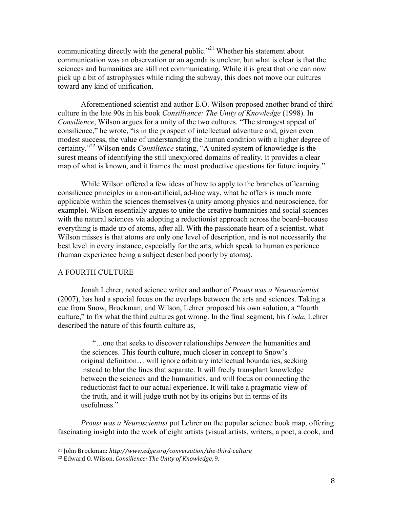communicating directly with the general public."<sup>21</sup> Whether his statement about communication was an observation or an agenda is unclear, but what is clear is that the sciences and humanities are still not communicating. While it is great that one can now pick up a bit of astrophysics while riding the subway, this does not move our cultures toward any kind of unification.

Aforementioned scientist and author E.O. Wilson proposed another brand of third culture in the late 90s in his book *Consilliance: The Unity of Knowledge* (1998). In *Consilience*, Wilson argues for a unity of the two cultures. "The strongest appeal of consilience," he wrote, "is in the prospect of intellectual adventure and, given even modest success, the value of understanding the human condition with a higher degree of certainty."<sup>22</sup> Wilson ends *Consilience* stating, "A united system of knowledge is the surest means of identifying the still unexplored domains of reality. It provides a clear map of what is known, and it frames the most productive questions for future inquiry."

While Wilson offered a few ideas of how to apply to the branches of learning consilience principles in a non-artificial, ad-hoc way, what he offers is much more applicable within the sciences themselves (a unity among physics and neuroscience, for example). Wilson essentially argues to unite the creative humanities and social sciences with the natural sciences via adopting a reductionist approach across the board–because everything is made up of atoms, after all. With the passionate heart of a scientist, what Wilson misses is that atoms are only one level of description, and is not necessarily the best level in every instance, especially for the arts, which speak to human experience (human experience being a subject described poorly by atoms).

# A FOURTH CULTURE

Jonah Lehrer, noted science writer and author of *Proust was a Neuroscientist* (2007), has had a special focus on the overlaps between the arts and sciences. Taking a cue from Snow, Brockman, and Wilson, Lehrer proposed his own solution, a "fourth culture," to fix what the third cultures got wrong. In the final segment, his *Coda*, Lehrer described the nature of this fourth culture as,

"*…*one that seeks to discover relationships *between* the humanities and the sciences. This fourth culture, much closer in concept to Snow's original definition… will ignore arbitrary intellectual boundaries, seeking instead to blur the lines that separate. It will freely transplant knowledge between the sciences and the humanities, and will focus on connecting the reductionist fact to our actual experience. It will take a pragmatic view of the truth, and it will judge truth not by its origins but in terms of its usefulness."

*Proust was a Neuroscientist* put Lehrer on the popular science book map, offering fascinating insight into the work of eight artists (visual artists, writers, a poet, a cook, and

<sup>&</sup>lt;sup>21</sup> John Brockman: *http://www.edge.org/conversation/the-third-culture* 

<sup>&</sup>lt;sup>22</sup> Edward O. Wilson, *Consilience: The Unity of Knowledge*, 9.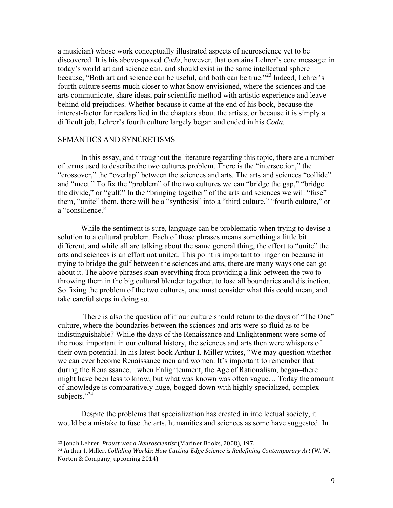a musician) whose work conceptually illustrated aspects of neuroscience yet to be discovered. It is his above-quoted *Coda*, however, that contains Lehrer's core message: in today's world art and science can, and should exist in the same intellectual sphere because, "Both art and science can be useful, and both can be true."<sup>23</sup> Indeed, Lehrer's fourth culture seems much closer to what Snow envisioned, where the sciences and the arts communicate, share ideas, pair scientific method with artistic experience and leave behind old prejudices. Whether because it came at the end of his book, because the interest-factor for readers lied in the chapters about the artists, or because it is simply a difficult job, Lehrer's fourth culture largely began and ended in his *Coda.*

## SEMANTICS AND SYNCRETISMS

In this essay, and throughout the literature regarding this topic, there are a number of terms used to describe the two cultures problem. There is the "intersection," the "crossover," the "overlap" between the sciences and arts. The arts and sciences "collide" and "meet." To fix the "problem" of the two cultures we can "bridge the gap," "bridge the divide," or "gulf." In the "bringing together" of the arts and sciences we will "fuse" them, "unite" them, there will be a "synthesis" into a "third culture," "fourth culture," or a "consilience."

While the sentiment is sure, language can be problematic when trying to devise a solution to a cultural problem. Each of those phrases means something a little bit different, and while all are talking about the same general thing, the effort to "unite" the arts and sciences is an effort not united. This point is important to linger on because in trying to bridge the gulf between the sciences and arts, there are many ways one can go about it. The above phrases span everything from providing a link between the two to throwing them in the big cultural blender together, to lose all boundaries and distinction. So fixing the problem of the two cultures, one must consider what this could mean, and take careful steps in doing so.

There is also the question of if our culture should return to the days of "The One" culture, where the boundaries between the sciences and arts were so fluid as to be indistinguishable? While the days of the Renaissance and Enlightenment were some of the most important in our cultural history, the sciences and arts then were whispers of their own potential. In his latest book Arthur I. Miller writes, "We may question whether we can ever become Renaissance men and women. It's important to remember that during the Renaissance…when Enlightenment, the Age of Rationalism, began–there might have been less to know, but what was known was often vague… Today the amount of knowledge is comparatively huge, bogged down with highly specialized, complex subjects."<sup>24</sup>

Despite the problems that specialization has created in intellectual society, it would be a mistake to fuse the arts, humanities and sciences as some have suggested. In

<sup>&</sup>lt;sup>23</sup> Jonah Lehrer, *Proust was a Neuroscientist* (Mariner Books, 2008), 197.

<sup>&</sup>lt;sup>24</sup> Arthur I. Miller, *Colliding Worlds: How Cutting-Edge Science is Redefining Contemporary Art* (W. W. Norton & Company, upcoming 2014).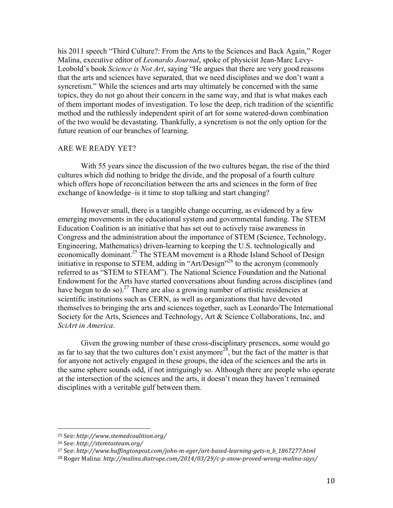his 2011 speech "Third Culture?: From the Arts to the Sciences and Back Again," Roger Malina, executive editor of *Leonardo Journal*, spoke of physicist Jean-Marc Levy-Leobold's book *Science is Not Art*, saying "He argues that there are very good reasons that the arts and sciences have separated, that we need disciplines and we don't want a syncretism." While the sciences and arts may ultimately be concerned with the same topics, they do not go about their concern in the same way, and that is what makes each of them important modes of investigation. To lose the deep, rich tradition of the scientific method and the ruthlessly independent spirit of art for some watered-down combination of the two would be devastating. Thankfully, a syncretism is not the only option for the future reunion of our branches of learning.

# ARE WE READY YET?

With 55 years since the discussion of the two cultures began, the rise of the third cultures which did nothing to bridge the divide, and the proposal of a fourth culture which offers hope of reconciliation between the arts and sciences in the form of free exchange of knowledge–is it time to stop talking and start changing?

However small, there is a tangible change occurring, as evidenced by a few emerging movements in the educational system and governmental funding. The STEM Education Coalition is an initiative that has set out to actively raise awareness in Congress and the administration about the importance of STEM (Science, Technology, Engineering, Mathematics) driven-learning to keeping the U.S. technologically and economically dominant.<sup>25</sup> The STEAM movement is a Rhode Island School of Design initiative in response to STEM, adding in "Art/Design"<sup>26</sup> to the acronym (commonly referred to as "STEM to STEAM"). The National Science Foundation and the National Endowment for the Arts have started conversations about funding across disciplines (and have begun to do so).<sup>27</sup> There are also a growing number of artistic residencies at scientific institutions such as CERN, as well as organizations that have devoted themselves to bringing the arts and sciences together, such as Leonardo/The International Society for the Arts, Sciences and Technology, Art & Science Collaborations, Inc, and *SciArt in America*.

Given the growing number of these cross-disciplinary presences, some would go as far to say that the two cultures don't exist anymore<sup>28</sup>, but the fact of the matter is that for anyone not actively engaged in these groups, the idea of the sciences and the arts in the same sphere sounds odd, if not intriguingly so. Although there are people who operate at the intersection of the sciences and the arts, it doesn't mean they haven't remained disciplines with a veritable gulf between them.

<sup>25</sup> See:!*http://www.stemedcoalition.org/*

<sup>26</sup> See:!*http://stemtosteam.org/*

<sup>&</sup>lt;sup>27</sup> See: http://www.huffingtonpost.com/john-m-eger/art-based-learning-gets-n\_b\_1867277.html

<sup>&</sup>lt;sup>28</sup> Roger Malina: http://malina.diatrope.com/2014/03/29/c-p-snow-proved-wrong-malina-says/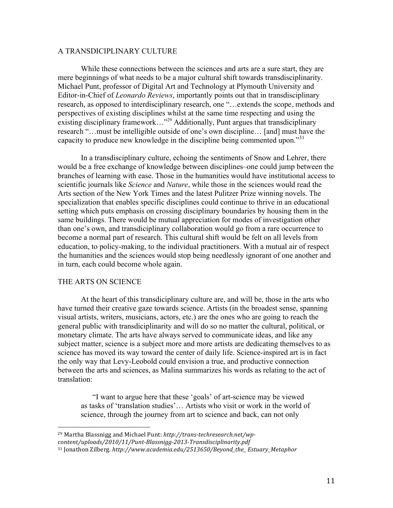# A TRANSDICIPLINARY CULTURE

While these connections between the sciences and arts are a sure start, they are mere beginnings of what needs to be a major cultural shift towards transdisciplinarity. Michael Punt, professor of Digital Art and Technology at Plymouth University and Editor-in-Chief of *Leonardo Reviews*, importantly points out that in transdisciplinary research, as opposed to interdisciplinary research, one "…extends the scope, methods and perspectives of existing disciplines whilst at the same time respecting and using the existing disciplinary framework…"<sup>29</sup> Additionally, Punt argues that transdiciplinary research "…must be intelligible outside of one's own discipline… [and] must have the capacity to produce new knowledge in the discipline being commented upon."<sup>31</sup>

In a transdisciplinary culture, echoing the sentiments of Snow and Lehrer, there would be a free exchange of knowledge between disciplines–one could jump between the branches of learning with ease. Those in the humanities would have institutional access to scientific journals like *Science* and *Nature*, while those in the sciences would read the Arts section of the New York Times and the latest Pulitzer Prize winning novels. The specialization that enables specific disciplines could continue to thrive in an educational setting which puts emphasis on crossing disciplinary boundaries by housing them in the same buildings. There would be mutual appreciation for modes of investigation other than one's own, and transdiciplinary collaboration would go from a rare occurrence to become a normal part of research. This cultural shift would be felt on all levels from education, to policy-making, to the individual practitioners. With a mutual air of respect the humanities and the sciences would stop being needlessly ignorant of one another and in turn, each could become whole again.

## THE ARTS ON SCIENCE

!!!!!!!!!!!!!!!!!!!!!!!!!!!!!!!!!!!!!!!!!!!!!!!!!!!!!!!

At the heart of this transdiciplinary culture are, and will be, those in the arts who have turned their creative gaze towards science. Artists (in the broadest sense, spanning visual artists, writers, musicians, actors, etc.) are the ones who are going to reach the general public with transdiciplinarity and will do so no matter the cultural, political, or monetary climate. The arts have always served to communicate ideas, and like any subject matter, science is a subject more and more artists are dedicating themselves to as science has moved its way toward the center of daily life. Science-inspired art is in fact the only way that Levy-Leobold could envision a true, and productive connection between the arts and sciences, as Malina summarizes his words as relating to the act of translation:

"I want to argue here that these 'goals' of art-science may be viewed as tasks of 'translation studies'… Artists who visit or work in the world of science, through the journey from art to science and back, can not only

<sup>&</sup>lt;sup>29</sup> Martha Blassnigg and Michael Punt: *http://trans-techresearch.net/wp-*

content/uploads/2010/11/Punt-Blassnigg-2013-Transdisciplinarity.pdf

<sup>&</sup>lt;sup>31</sup> Jonathon Zilberg. *http://www.academia.edu/2513650/Beyond\_the\_Estuary\_Metaphor*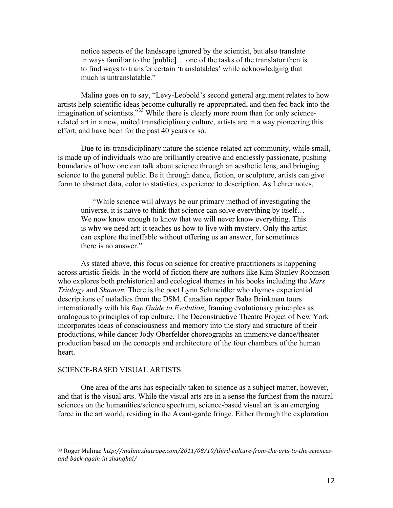notice aspects of the landscape ignored by the scientist, but also translate in ways familiar to the [public]… one of the tasks of the translator then is to find ways to transfer certain 'translatables' while acknowledging that much is untranslatable."

Malina goes on to say, "Levy-Leobold's second general argument relates to how artists help scientific ideas become culturally re-appropriated, and then fed back into the imagination of scientists."<sup>33</sup> While there is clearly more room than for only sciencerelated art in a new, united transdiciplinary culture, artists are in a way pioneering this effort, and have been for the past 40 years or so.

Due to its transdiciplinary nature the science-related art community, while small, is made up of individuals who are brilliantly creative and endlessly passionate, pushing boundaries of how one can talk about science through an aesthetic lens, and bringing science to the general public. Be it through dance, fiction, or sculpture, artists can give form to abstract data, color to statistics, experience to description. As Lehrer notes,

"While science will always be our primary method of investigating the universe, it is naïve to think that science can solve everything by itself… We now know enough to know that we will never know everything. This is why we need art: it teaches us how to live with mystery. Only the artist can explore the ineffable without offering us an answer, for sometimes there is no answer."

As stated above, this focus on science for creative practitioners is happening across artistic fields. In the world of fiction there are authors like Kim Stanley Robinson who explores both prehistorical and ecological themes in his books including the *Mars Triology* and *Shaman.* There is the poet Lynn Schmeidler who rhymes experiential descriptions of maladies from the DSM. Canadian rapper Baba Brinkman tours internationally with his *Rap Guide to Evolution*, framing evolutionary principles as analogous to principles of rap culture. The Deconstructive Theatre Project of New York incorporates ideas of consciousness and memory into the story and structure of their productions, while dancer Jody Oberfelder choreographs an immersive dance/theater production based on the concepts and architecture of the four chambers of the human heart.

#### SCIENCE-BASED VISUAL ARTISTS

!!!!!!!!!!!!!!!!!!!!!!!!!!!!!!!!!!!!!!!!!!!!!!!!!!!!!!!

One area of the arts has especially taken to science as a subject matter, however, and that is the visual arts. While the visual arts are in a sense the furthest from the natural sciences on the humanities/science spectrum, science-based visual art is an emerging force in the art world, residing in the Avant-garde fringe. Either through the exploration

<sup>33</sup> Roger Malina: http://malina.diatrope.com/2011/08/10/third-culture-from-the-arts-to-the-sciences $and-back-again-in-shanghai/$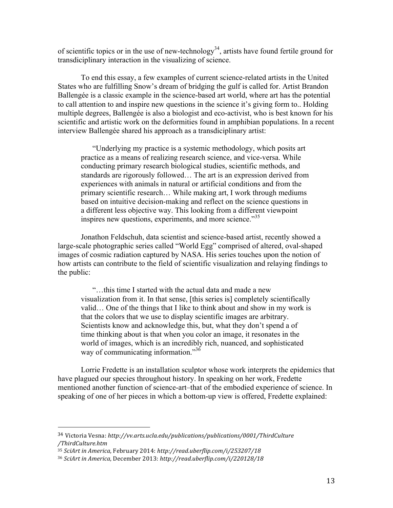of scientific topics or in the use of new-technology<sup>34</sup>, artists have found fertile ground for transdiciplinary interaction in the visualizing of science.

To end this essay, a few examples of current science-related artists in the United States who are fulfilling Snow's dream of bridging the gulf is called for. Artist Brandon Ballengée is a classic example in the science-based art world, where art has the potential to call attention to and inspire new questions in the science it's giving form to.. Holding multiple degrees, Ballengée is also a biologist and eco-activist, who is best known for his scientific and artistic work on the deformities found in amphibian populations. In a recent interview Ballengée shared his approach as a transdiciplinary artist:

"Underlying my practice is a systemic methodology, which posits art practice as a means of realizing research science, and vice-versa. While conducting primary research biological studies, scientific methods, and standards are rigorously followed… The art is an expression derived from experiences with animals in natural or artificial conditions and from the primary scientific research… While making art, I work through mediums based on intuitive decision-making and reflect on the science questions in a different less objective way. This looking from a different viewpoint inspires new questions, experiments, and more science.<sup>35</sup>

Jonathon Feldschuh, data scientist and science-based artist, recently showed a large-scale photographic series called "World Egg" comprised of altered, oval-shaped images of cosmic radiation captured by NASA. His series touches upon the notion of how artists can contribute to the field of scientific visualization and relaying findings to the public:

"…this time I started with the actual data and made a new visualization from it. In that sense, [this series is] completely scientifically valid… One of the things that I like to think about and show in my work is that the colors that we use to display scientific images are arbitrary. Scientists know and acknowledge this, but, what they don't spend a of time thinking about is that when you color an image, it resonates in the world of images, which is an incredibly rich, nuanced, and sophisticated way of communicating information."<sup>36</sup>

Lorrie Fredette is an installation sculptor whose work interprets the epidemics that have plagued our species throughout history. In speaking on her work, Fredette mentioned another function of science-art–that of the embodied experience of science. In speaking of one of her pieces in which a bottom-up view is offered, Fredette explained:

<sup>34</sup> Victoria!Vesna: *http://vv.arts.ucla.edu/publications/publications/0001/ThirdCulture /ThirdCulture.htm*

<sup>&</sup>lt;sup>35</sup> SciArt in America, February 2014: http://read.uberflip.com/i/253207/18

<sup>&</sup>lt;sup>36</sup> SciArt in America, December 2013: http://read.uberflip.com/i/220128/18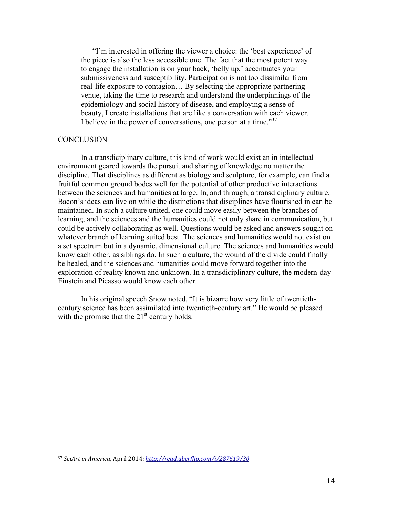"I'm interested in offering the viewer a choice: the 'best experience' of the piece is also the less accessible one. The fact that the most potent way to engage the installation is on your back, 'belly up,' accentuates your submissiveness and susceptibility. Participation is not too dissimilar from real-life exposure to contagion… By selecting the appropriate partnering venue, taking the time to research and understand the underpinnings of the epidemiology and social history of disease, and employing a sense of beauty, I create installations that are like a conversation with each viewer. I believe in the power of conversations, one person at a time.<sup>37</sup>

## **CONCLUSION**

In a transdiciplinary culture, this kind of work would exist an in intellectual environment geared towards the pursuit and sharing of knowledge no matter the discipline. That disciplines as different as biology and sculpture, for example, can find a fruitful common ground bodes well for the potential of other productive interactions between the sciences and humanities at large. In, and through, a transdiciplinary culture, Bacon's ideas can live on while the distinctions that disciplines have flourished in can be maintained. In such a culture united, one could move easily between the branches of learning, and the sciences and the humanities could not only share in communication, but could be actively collaborating as well. Questions would be asked and answers sought on whatever branch of learning suited best. The sciences and humanities would not exist on a set spectrum but in a dynamic, dimensional culture. The sciences and humanities would know each other, as siblings do. In such a culture, the wound of the divide could finally be healed, and the sciences and humanities could move forward together into the exploration of reality known and unknown. In a transdiciplinary culture, the modern-day Einstein and Picasso would know each other.

In his original speech Snow noted, "It is bizarre how very little of twentiethcentury science has been assimilated into twentieth-century art." He would be pleased with the promise that the  $21<sup>st</sup>$  century holds.

<sup>&</sup>lt;sup>37</sup> *SciArt in America, April 2014: http://read.uberflip.com/i/287619/30*